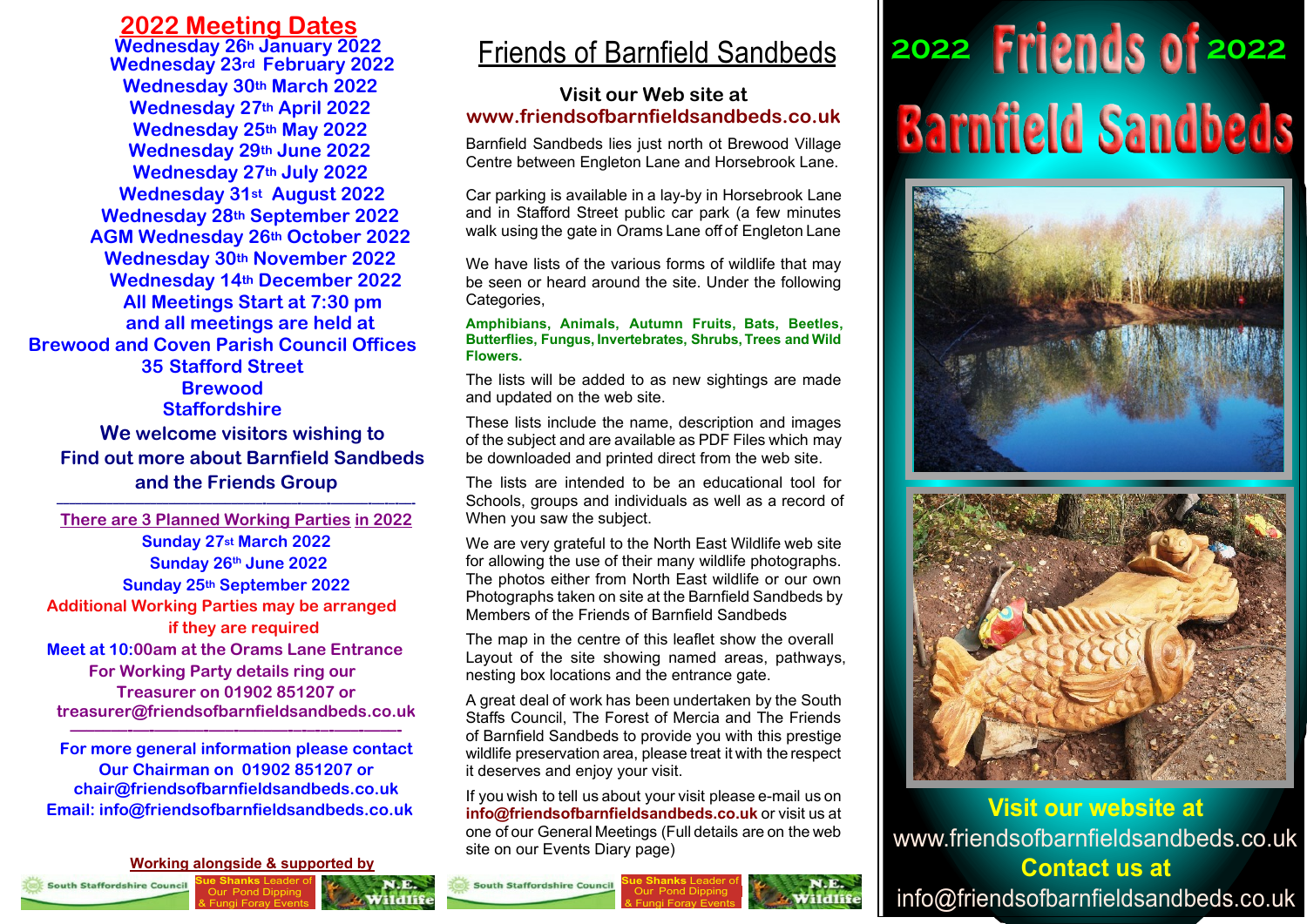### **2022 Meeting Dates**

**Wednesday 26h January 2022 Wednesday 23rd February 2022 Wednesday 30th March 2022 Wednesday 27th April 2022 Wednesday 25th May 2022 Wednesday 29th June 2022 Wednesday 27th July 2022 Wednesday 31st August 2022 Wednesday 28th September 2022 AGM Wednesday 26th October 2022 Wednesday 30th November 2022 Wednesday 14th December 2022 All Meetings Start at 7:30 pm and all meetings are held at Brewood and Coven Parish Council Offices 35 Stafford Street Brewood Staffordshire**

**We welcome visitors wishing to Find out more about Barnfield Sandbeds and the Friends Group**

**–––––––––––––––––––––––––––––––––-—–––-—––-—––––-––-–-––- There are 3 Planned Working Parties in 2022 Sunday 27st March 2022 Sunday 26th June 2022 Sunday 25th September 2022 Additional Working Parties may be arranged if they are required Meet at 10:00am at the Orams Lane Entrance For Working Party details ring our Treasurer on 01902 851207 or treasurer@friendsofbarnfieldsandbeds.co.uk**

**For more general information please contact Our Chairman on 01902 851207 or chair@friendsofbarnfieldsandbeds.co.uk Email: info@friendsofbarnfieldsandbeds.co.uk**

**–––––––-—-—––––-—–-—––––-–-–-–-—–-—––-**

**Sue Shanks** Leader of Our Pond Dipping **Working alongside & supported by**

& Fungi Foray Events



## Friends of Barnfield Sandbeds

#### **Visit our Web site at www.friendsofbarnfieldsandbeds.co.uk**

Barnfield Sandbeds lies just north ot Brewood Village Centre between Engleton Lane and Horsebrook Lane.

Car parking is available in a lay-by in Horsebrook Lane and in Stafford Street public car park (a few minutes walk using the gate in Orams Lane off of Engleton Lane

We have lists of the various forms of wildlife that may be seen or heard around the site. Under the following Categories.

#### **Amphibians, Animals, Autumn Fruits, Bats, Beetles, Butterflies, Fungus, Invertebrates, Shrubs, Trees and Wild Flowers.**

The lists will be added to as new sightings are made and updated on the web site.

These lists include the name, description and images of the subject and are available as PDF Files which may be downloaded and printed direct from the web site.

The lists are intended to be an educational tool for Schools, groups and individuals as well as a record of When you saw the subject.

We are very grateful to the North East Wildlife web site for allowing the use of their many wildlife photographs. The photos either from North East wildlife or our own Photographs taken on site at the Barnfield Sandbeds by Members of the Friends of Barnfield Sandbeds

The map in the centre of this leaflet show the overall Layout of the site showing named areas, pathways, nesting box locations and the entrance gate.

A great deal of work has been undertaken by the South Staffs Council, The Forest of Mercia and The Friends of Barnfield Sandbeds to provide you with this prestige wildlife preservation area, please treat it with the respect it deserves and enjoy your visit.

If you wish to tell us about your visit please e-mail us on **info@friendsofbarnfieldsandbeds.co.uk** or visit us at one of our General Meetings (Full details are on the web site on our Events Diary page)

**South Staffordshire Council** 

**Sue Shanks** Leader of Our Pond Dipping & Fungi Foray Events

# **2022 2022Barnfield Sandbeds**





www.friendsofbarnfieldsandbeds.co.uk info@friendsofbarnfieldsandbeds.co.uk **Visit our website at Contact us at**